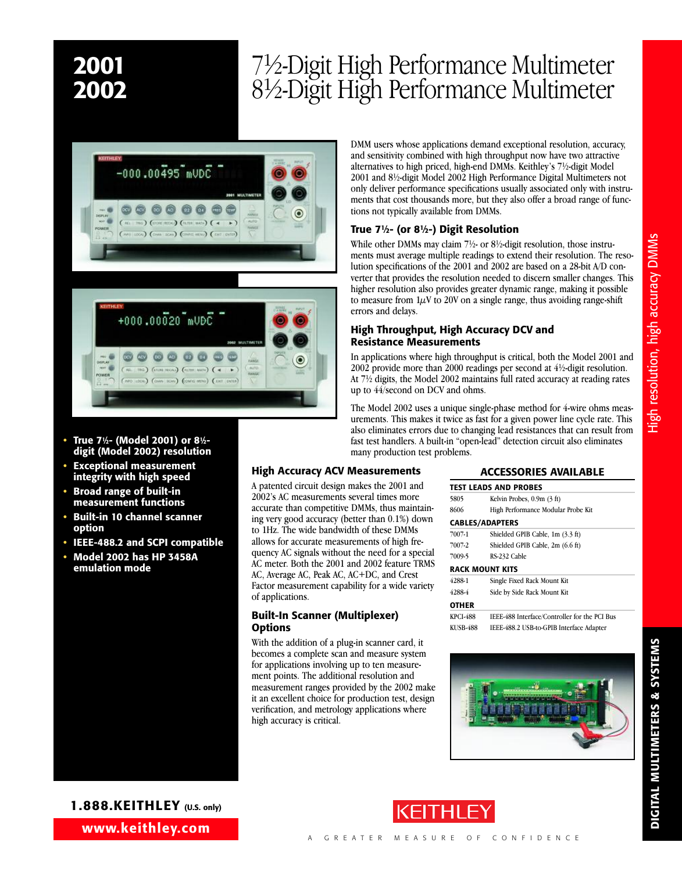# **2001** 71 **2002**

# ⁄2-Digit High Performance Multimeter ⁄2-Digit High Performance Multimeter





- **• True 71⁄2- (Model 2001) or 81⁄2 digit (Model 2002) resolution**
- **• Exceptional measurement integrity with high speed**
- **• Broad range of built-in measurement functions**
- **• Built-in 10 channel scanner option**
- **• IEEE-488.2 and SCPI compatible**
- **• Model 2002 has HP 3458A emulation mode**

DMM users whose applications demand exceptional resolution, accuracy, and sensitivity combined with high throughput now have two attractive alternatives to high priced, high-end DMMs. Keithley's 71 ⁄2-digit Model 2001 and 81 ⁄2-digit Model 2002 High Performance Digital Multimeters not only deliver performance specifications usually associated only with instruments that cost thousands more, but they also offer a broad range of functions not typically available from DMMs.

## **True 71⁄2- (or 81⁄2-) Digit Resolution**

While other DMMs may claim 7<sup>1</sup>/2- or 8<sup>1</sup>/2-digit resolution, those instruments must average multiple readings to extend their resolution. The resolution specifications of the 2001 and 2002 are based on a 28-bit A/D converter that provides the resolution needed to discern smaller changes. This higher resolution also provides greater dynamic range, making it possible to measure from  $1\mu$ V to 20V on a single range, thus avoiding range-shift errors and delays.

### **High Throughput, High Accuracy DCV and Resistance Measurements**

In applications where high throughput is critical, both the Model 2001 and 2002 provide more than 2000 readings per second at 41 ⁄2-digit resolution. At 71 ⁄2 digits, the Model 2002 maintains full rated accuracy at reading rates up to 44/second on DCV and ohms.

The Model 2002 uses a unique single-phase method for 4-wire ohms measurements. This makes it twice as fast for a given power line cycle rate. This also eliminates errors due to changing lead resistances that can result from fast test handlers. A built-in "open-lead" detection circuit also eliminates many production test problems.

## **High Accuracy ACV Measurements**

A patented circuit design makes the 2001 and 2002's AC measurements several times more accurate than competitive DMMs, thus maintaining very good accuracy (better than 0.1%) down to 1Hz. The wide bandwidth of these DMMs allows for accurate measurements of high frequency AC signals without the need for a special AC meter. Both the 2001 and 2002 feature TRMS AC, Average AC, Peak AC, AC+DC, and Crest Factor measurement capability for a wide variety of applications.

### **Built-In Scanner (Multiplexer) Options**

With the addition of a plug-in scanner card, it becomes a complete scan and measure system for applications involving up to ten measurement points. The additional resolution and measurement ranges provided by the 2002 make it an excellent choice for production test, design verification, and metrology applications where high accuracy is critical.

### **ACCESSORIES AVAILABLE**

|                 | <b>TEST LEADS AND PROBES</b>                  |
|-----------------|-----------------------------------------------|
| 5805            | Kelvin Probes, 0.9m (3 ft)                    |
| 8606            | High Performance Modular Probe Kit            |
|                 | <b>CABLES/ADAPTERS</b>                        |
| 7007-1          | Shielded GPIB Cable, 1m (3.3 ft)              |
| 7007-2          | Shielded GPIB Cable, 2m (6.6 ft)              |
| 7009-5          | RS-232 Cable                                  |
|                 | <b>RACK MOUNT KITS</b>                        |
| 4288-1          | Single Fixed Rack Mount Kit                   |
| 4288-4          | Side by Side Rack Mount Kit                   |
| <b>OTHER</b>    |                                               |
| <b>KPCI-488</b> | IEEE-488 Interface/Controller for the PCI Bus |
| KUSB-488        | IEEE-488.2 USB-to-GPIB Interface Adapter      |





**DIGITAL M**

**ULTIM E T E R**

**S &**

**S Y S T E M**

**S**

**www.keithley.com 1.888.KEITHLEY (U.S. only)**